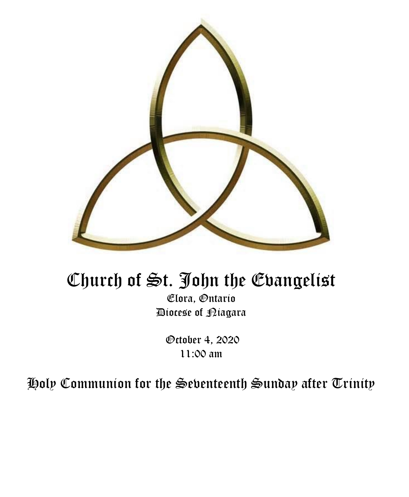

# Church of St. John the Evangelist

Elora, Ontario Diocese of Niagara

> October 4, 2020 11:00 am

Holy Communion for the Seventeenth Sunday after Trinity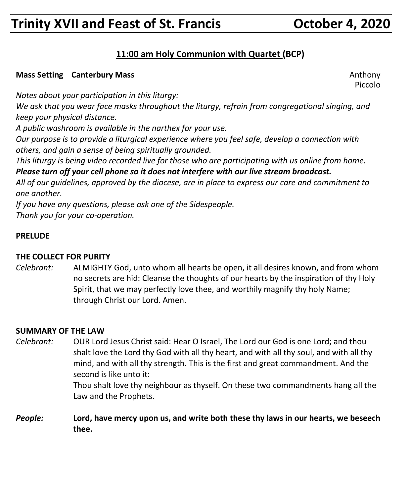## **Trinity XVII and Feast of St. Francis Contract Contract October 4, 2020**

### **11:00 am Holy Communion with Quartet (BCP)**

#### **Mass Setting Canterbury Mass Anthony Anthony Canterbury Mass Anthony Anthony Anthony Anthony Anthony Anthony**

*Notes about your participation in this liturgy:*

*We ask that you wear face masks throughout the liturgy, refrain from congregational singing, and keep your physical distance.*

*A public washroom is available in the narthex for your use.*

*Our purpose is to provide a liturgical experience where you feel safe, develop a connection with others, and gain a sense of being spiritually grounded.*

*This liturgy is being video recorded live for those who are participating with us online from home. Please turn off your cell phone so it does not interfere with our live stream broadcast.*

*All of our guidelines, approved by the diocese, are in place to express our care and commitment to one another.* 

*If you have any questions, please ask one of the Sidespeople. Thank you for your co-operation.*

#### **PRELUDE**

#### **THE COLLECT FOR PURITY**

*Celebrant:* ALMIGHTY God, unto whom all hearts be open, it all desires known, and from whom no secrets are hid: Cleanse the thoughts of our hearts by the inspiration of thy Holy Spirit, that we may perfectly love thee, and worthily magnify thy holy Name; through Christ our Lord. Amen.

#### **SUMMARY OF THE LAW**

- *Celebrant:* OUR Lord Jesus Christ said: Hear O Israel, The Lord our God is one Lord; and thou shalt love the Lord thy God with all thy heart, and with all thy soul, and with all thy mind, and with all thy strength. This is the first and great commandment. And the second is like unto it: Thou shalt love thy neighbour as thyself. On these two commandments hang all the Law and the Prophets.
- *People:* **Lord, have mercy upon us, and write both these thy laws in our hearts, we beseech thee.**

Piccolo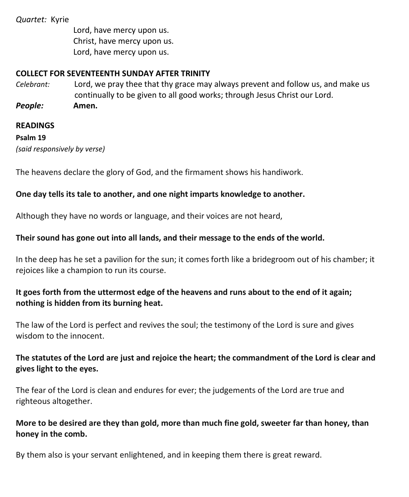#### *Quartet:* Kyrie

Lord, have mercy upon us. Christ, have mercy upon us. Lord, have mercy upon us.

#### **COLLECT FOR SEVENTEENTH SUNDAY AFTER TRINITY**

*Celebrant:* Lord, we pray thee that thy grace may always prevent and follow us, and make us continually to be given to all good works; through Jesus Christ our Lord. *People:* **Amen.**

#### **READINGS**

**Psalm 19** *(said responsively by verse)*

The heavens declare the glory of God, and the firmament shows his handiwork.

#### **One day tells its tale to another, and one night imparts knowledge to another.**

Although they have no words or language, and their voices are not heard,

#### **Their sound has gone out into all lands, and their message to the ends of the world.**

In the deep has he set a pavilion for the sun; it comes forth like a bridegroom out of his chamber; it rejoices like a champion to run its course.

#### **It goes forth from the uttermost edge of the heavens and runs about to the end of it again; nothing is hidden from its burning heat.**

The law of the Lord is perfect and revives the soul; the testimony of the Lord is sure and gives wisdom to the innocent.

#### **The statutes of the Lord are just and rejoice the heart; the commandment of the Lord is clear and gives light to the eyes.**

The fear of the Lord is clean and endures for ever; the judgements of the Lord are true and righteous altogether.

#### **More to be desired are they than gold, more than much fine gold, sweeter far than honey, than honey in the comb.**

By them also is your servant enlightened, and in keeping them there is great reward.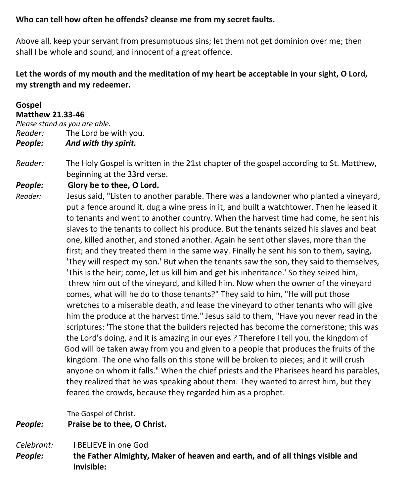#### **Who can tell how often he offends? cleanse me from my secret faults.**

Above all, keep your servant from presumptuous sins; let them not get dominion over me; then shall I be whole and sound, and innocent of a great offence.

### **Let the words of my mouth and the meditation of my heart be acceptable in your sight, O Lord, my strength and my redeemer.**

**Gospel** 

#### **Matthew 21.33-46**

*Please stand as you are able.*

- *Reader:*The Lord be with you.
- *People: And with thy spirit.*
- *Reader:* The Holy Gospel is written in the 21st chapter of the gospel according to St. Matthew, beginning at the 33rd verse.

#### *People:* **Glory be to thee, O Lord.**

*Reader:* Jesus said, "Listen to another parable. There was a landowner who planted a vineyard, put a fence around it, dug a wine press in it, and built a watchtower. Then he leased it to tenants and went to another country. When the harvest time had come, he sent his slaves to the tenants to collect his produce. But the tenants seized his slaves and beat one, killed another, and stoned another. Again he sent other slaves, more than the first; and they treated them in the same way. Finally he sent his son to them, saying, 'They will respect my son.' But when the tenants saw the son, they said to themselves, 'This is the heir; come, let us kill him and get his inheritance.' So they seized him, threw him out of the vineyard, and killed him. Now when the owner of the vineyard comes, what will he do to those tenants?" They said to him, "He will put those wretches to a miserable death, and lease the vineyard to other tenants who will give him the produce at the harvest time." Jesus said to them, "Have you never read in the scriptures: 'The stone that the builders rejected has become the cornerstone; this was the Lord's doing, and it is amazing in our eyes'? Therefore I tell you, the kingdom of God will be taken away from you and given to a people that produces the fruits of the kingdom. The one who falls on this stone will be broken to pieces; and it will crush anyone on whom it falls." When the chief priests and the Pharisees heard his parables, they realized that he was speaking about them. They wanted to arrest him, but they feared the crowds, because they regarded him as a prophet.

The Gospel of Christ.

- *People:* **Praise be to thee, O Christ.**
- *Celebrant:* I BELIEVE in one God
- *People:* **the Father Almighty, Maker of heaven and earth, and of all things visible and invisible:**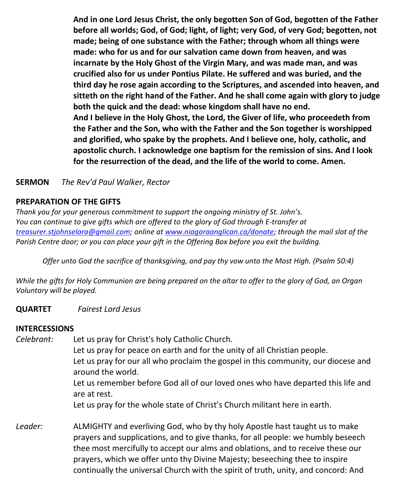**And in one Lord Jesus Christ, the only begotten Son of God, begotten of the Father before all worlds; God, of God; light, of light; very God, of very God; begotten, not made; being of one substance with the Father; through whom all things were made: who for us and for our salvation came down from heaven, and was incarnate by the Holy Ghost of the Virgin Mary, and was made man, and was crucified also for us under Pontius Pilate. He suffered and was buried, and the third day he rose again according to the Scriptures, and ascended into heaven, and sitteth on the right hand of the Father. And he shall come again with glory to judge both the quick and the dead: whose kingdom shall have no end. And I believe in the Holy Ghost, the Lord, the Giver of life, who proceedeth from the Father and the Son, who with the Father and the Son together is worshipped and glorified, who spake by the prophets. And I believe one, holy, catholic, and apostolic church. I acknowledge one baptism for the remission of sins. And I look for the resurrection of the dead, and the life of the world to come. Amen.**

#### **SERMON** *The Rev'd Paul Walker, Rector*

#### **PREPARATION OF THE GIFTS**

*Thank you for your generous commitment to support the ongoing ministry of St. John's. You can continue to give gifts which are offered to the glory of God through E-transfer at [treasurer.stjohnselora@gmail.com;](mailto:treasurer.stjohnselora@gmail.com) online at [www.niagaraanglican.ca/donate;](http://www.niagaraanglican.ca/donate) through the mail slot of the Parish Centre door; or you can place your gift in the Offering Box before you exit the building.*

*Offer unto God the sacrifice of thanksgiving, and pay thy vow unto the Most High. (Psalm 50:4)*

While the gifts for Holy Communion are being prepared on the altar to offer to the glory of God, an Organ *Voluntary will be played.*

#### **QUARTET** *Fairest Lord Jesus*

#### **INTERCESSIONS**

*Celebrant:* Let us pray for Christ's holy Catholic Church. Let us pray for peace on earth and for the unity of all Christian people. Let us pray for our all who proclaim the gospel in this community, our diocese and around the world. Let us remember before God all of our loved ones who have departed this life and are at rest.

Let us pray for the whole state of Christ's Church militant here in earth.

*Leader:* ALMIGHTY and everliving God, who by thy holy Apostle hast taught us to make prayers and supplications, and to give thanks, for all people: we humbly beseech thee most mercifully to accept our alms and oblations, and to receive these our prayers, which we offer unto thy Divine Majesty; beseeching thee to inspire continually the universal Church with the spirit of truth, unity, and concord: And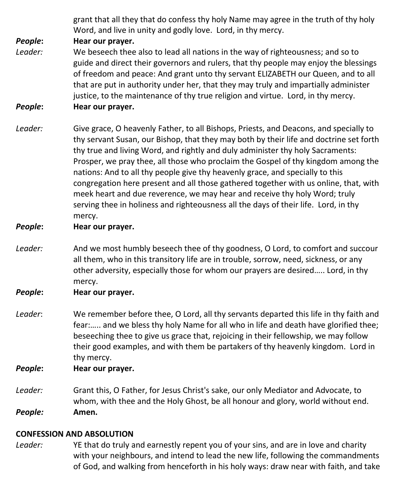grant that all they that do confess thy holy Name may agree in the truth of thy holy Word, and live in unity and godly love. Lord, in thy mercy.

#### *People***: Hear our prayer.**

- *Leader:* We beseech thee also to lead all nations in the way of righteousness; and so to guide and direct their governors and rulers, that thy people may enjoy the blessings of freedom and peace: And grant unto thy servant ELIZABETH our Queen, and to all that are put in authority under her, that they may truly and impartially administer justice, to the maintenance of thy true religion and virtue. Lord, in thy mercy.
- *People***: Hear our prayer.**
- *Leader:* Give grace, O heavenly Father, to all Bishops, Priests, and Deacons, and specially to thy servant Susan, our Bishop, that they may both by their life and doctrine set forth thy true and living Word, and rightly and duly administer thy holy Sacraments: Prosper, we pray thee, all those who proclaim the Gospel of thy kingdom among the nations: And to all thy people give thy heavenly grace, and specially to this congregation here present and all those gathered together with us online, that, with meek heart and due reverence, we may hear and receive thy holy Word; truly serving thee in holiness and righteousness all the days of their life. Lord, in thy mercy.

#### *People***: Hear our prayer.**

- *Leader:* And we most humbly beseech thee of thy goodness, O Lord, to comfort and succour all them, who in this transitory life are in trouble, sorrow, need, sickness, or any other adversity, especially those for whom our prayers are desired….. Lord, in thy mercy.
- *People***: Hear our prayer.**
- *Leader*: We remember before thee, O Lord, all thy servants departed this life in thy faith and fear:….. and we bless thy holy Name for all who in life and death have glorified thee; beseeching thee to give us grace that, rejoicing in their fellowship, we may follow their good examples, and with them be partakers of thy heavenly kingdom. Lord in thy mercy.

#### *People***: Hear our prayer.**

*Leader:* Grant this, O Father, for Jesus Christ's sake, our only Mediator and Advocate, to whom, with thee and the Holy Ghost, be all honour and glory, world without end. *People:* **Amen.**

#### **CONFESSION AND ABSOLUTION**

*Leader:* YE that do truly and earnestly repent you of your sins, and are in love and charity with your neighbours, and intend to lead the new life, following the commandments of God, and walking from henceforth in his holy ways: draw near with faith, and take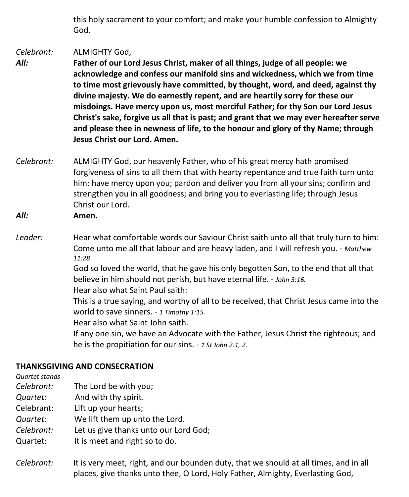this holy sacrament to your comfort; and make your humble confession to Almighty God.

*Celebrant:* ALMIGHTY God,

- *All:* **Father of our Lord Jesus Christ, maker of all things, judge of all people: we acknowledge and confess our manifold sins and wickedness, which we from time to time most grievously have committed, by thought, word, and deed, against thy divine majesty. We do earnestly repent, and are heartily sorry for these our misdoings. Have mercy upon us, most merciful Father; for thy Son our Lord Jesus Christ's sake, forgive us all that is past; and grant that we may ever hereafter serve and please thee in newness of life, to the honour and glory of thy Name; through Jesus Christ our Lord. Amen.**
- *Celebrant:* ALMIGHTY God, our heavenly Father, who of his great mercy hath promised forgiveness of sins to all them that with hearty repentance and true faith turn unto him: have mercy upon you; pardon and deliver you from all your sins; confirm and strengthen you in all goodness; and bring you to everlasting life; through Jesus Christ our Lord.

*All:* **Amen.**

Leader: Hear what comfortable words our Saviour Christ saith unto all that truly turn to him: Come unto me all that labour and are heavy laden, and I will refresh you. - *Matthew 11:28* God so loved the world, that he gave his only begotten Son, to the end that all that believe in him should not perish, but have eternal life. - *John 3:16.* Hear also what Saint Paul saith: This is a true saying, and worthy of all to be received, that Christ Jesus came into the world to save sinners. - *1 Timothy 1:15.* Hear also what Saint John saith. If any one sin, we have an Advocate with the Father, Jesus Christ the righteous; and he is the propitiation for our sins. - *1 St John 2:1, 2*.

#### **THANKSGIVING AND CONSECRATION**

*Quartet stands*

- *Celebrant:* The Lord be with you;
- *Quartet:* And with thy spirit.
- Celebrant: Lift up your hearts;
- *Quartet:* We lift them up unto the Lord.
- *Celebrant:* Let us give thanks unto our Lord God;
- Quartet: It is meet and right so to do.
- *Celebrant:* It is very meet, right, and our bounden duty, that we should at all times, and in all places, give thanks unto thee, O Lord, Holy Father, Almighty, Everlasting God,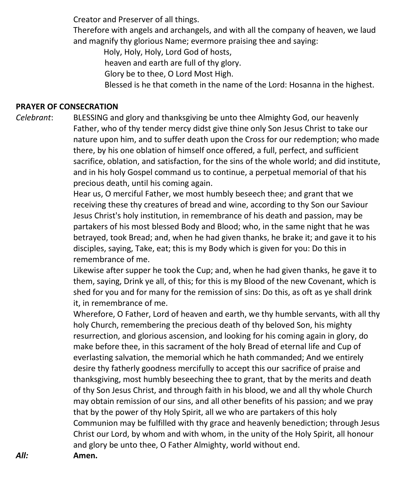Creator and Preserver of all things.

Therefore with angels and archangels, and with all the company of heaven, we laud and magnify thy glorious Name; evermore praising thee and saying:

Holy, Holy, Holy, Lord God of hosts,

heaven and earth are full of thy glory.

Glory be to thee, O Lord Most High.

Blessed is he that cometh in the name of the Lord: Hosanna in the highest.

#### **PRAYER OF CONSECRATION**

*Celebrant*: BLESSING and glory and thanksgiving be unto thee Almighty God, our heavenly Father, who of thy tender mercy didst give thine only Son Jesus Christ to take our nature upon him, and to suffer death upon the Cross for our redemption; who made there, by his one oblation of himself once offered, a full, perfect, and sufficient sacrifice, oblation, and satisfaction, for the sins of the whole world; and did institute, and in his holy Gospel command us to continue, a perpetual memorial of that his precious death, until his coming again.

> Hear us, O merciful Father, we most humbly beseech thee; and grant that we receiving these thy creatures of bread and wine, according to thy Son our Saviour Jesus Christ's holy institution, in remembrance of his death and passion, may be partakers of his most blessed Body and Blood; who, in the same night that he was betrayed, took Bread; and, when he had given thanks, he brake it; and gave it to his disciples, saying, Take, eat; this is my Body which is given for you: Do this in remembrance of me.

> Likewise after supper he took the Cup; and, when he had given thanks, he gave it to them, saying, Drink ye all, of this; for this is my Blood of the new Covenant, which is shed for you and for many for the remission of sins: Do this, as oft as ye shall drink it, in remembrance of me.

Wherefore, O Father, Lord of heaven and earth, we thy humble servants, with all thy holy Church, remembering the precious death of thy beloved Son, his mighty resurrection, and glorious ascension, and looking for his coming again in glory, do make before thee, in this sacrament of the holy Bread of eternal life and Cup of everlasting salvation, the memorial which he hath commanded; And we entirely desire thy fatherly goodness mercifully to accept this our sacrifice of praise and thanksgiving, most humbly beseeching thee to grant, that by the merits and death of thy Son Jesus Christ, and through faith in his blood, we and all thy whole Church may obtain remission of our sins, and all other benefits of his passion; and we pray that by the power of thy Holy Spirit, all we who are partakers of this holy Communion may be fulfilled with thy grace and heavenly benediction; through Jesus Christ our Lord, by whom and with whom, in the unity of the Holy Spirit, all honour and glory be unto thee, O Father Almighty, world without end. *All:* **Amen.**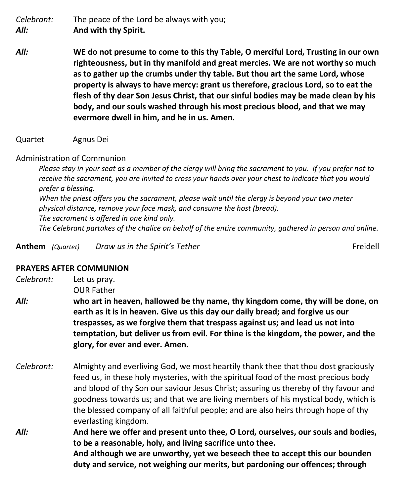*Celebrant:* The peace of the Lord be always with you; *All:* **And with thy Spirit.**

*All:* **WE do not presume to come to this thy Table, O merciful Lord, Trusting in our own righteousness, but in thy manifold and great mercies. We are not worthy so much as to gather up the crumbs under thy table. But thou art the same Lord, whose property is always to have mercy: grant us therefore, gracious Lord, so to eat the flesh of thy dear Son Jesus Christ, that our sinful bodies may be made clean by his body, and our souls washed through his most precious blood, and that we may evermore dwell in him, and he in us. Amen.**

Quartet Agnus Dei

Administration of Communion

Please stay in your seat as a member of the clergy will bring the sacrament to you. If you prefer not to receive the sacrament, you are invited to cross your hands over your chest to indicate that you would *prefer a blessing. When the priest offers you the sacrament, please wait until the clergy is beyond your two meter physical distance, remove your face mask, and consume the host (bread). The sacrament is offered in one kind only. The Celebrant partakes of the chalice on behalf of the entire community, gathered in person and online.*

**Anthem** *(Quartet) Draw us in the Spirit's Tether* Freidell

#### **PRAYERS AFTER COMMUNION**

*Celebrant:* Let us pray.

OUR Father

- *All:* **who art in heaven, hallowed be thy name, thy kingdom come, thy will be done, on earth as it is in heaven. Give us this day our daily bread; and forgive us our trespasses, as we forgive them that trespass against us; and lead us not into temptation, but deliver us from evil. For thine is the kingdom, the power, and the glory, for ever and ever. Amen.**
- *Celebrant:* Almighty and everliving God, we most heartily thank thee that thou dost graciously feed us, in these holy mysteries, with the spiritual food of the most precious body and blood of thy Son our saviour Jesus Christ; assuring us thereby of thy favour and goodness towards us; and that we are living members of his mystical body, which is the blessed company of all faithful people; and are also heirs through hope of thy everlasting kingdom.
- *All:* **And here we offer and present unto thee, O Lord, ourselves, our souls and bodies, to be a reasonable, holy, and living sacrifice unto thee. And although we are unworthy, yet we beseech thee to accept this our bounden duty and service, not weighing our merits, but pardoning our offences; through**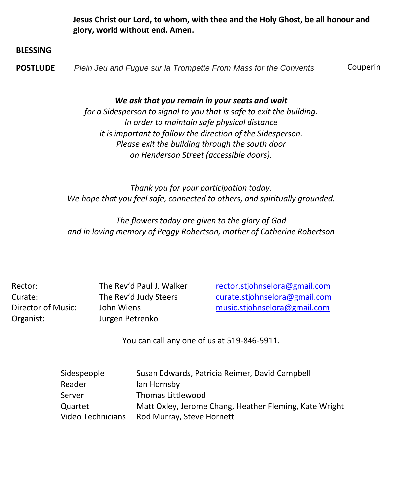**Jesus Christ our Lord, to whom, with thee and the Holy Ghost, be all honour and glory, world without end. Amen.**

#### **BLESSING**

**POSTLUDE** *Plein Jeu and Fugue sur la Trompette From Mass for the Convents* Couperin

#### *We ask that you remain in your seats and wait*

*for a Sidesperson to signal to you that is safe to exit the building. In order to maintain safe physical distance it is important to follow the direction of the Sidesperson. Please exit the building through the south door on Henderson Street (accessible doors).*

*Thank you for your participation today. We hope that you feel safe, connected to others, and spiritually grounded.*

*The flowers today are given to the glory of God and in loving memory of Peggy Robertson, mother of Catherine Robertson*

Organist: Jurgen Petrenko

Rector: The Rev'd Paul J. Walker [rector.stjohnselora@gmail.com](mailto:rector.stjohnselora@gmail.com) Curate: The Rev'd Judy Steers [curate.stjohnselora@gmail.com](mailto:curate.stjohnselora@gmail.com) Director of Music: John Wiens [music.stjohnselora@gmail.com](mailto:music.stjohnselora@gmail.com)

You can call any one of us at 519-846-5911.

| Sidespeople       | Susan Edwards, Patricia Reimer, David Campbell         |
|-------------------|--------------------------------------------------------|
| Reader            | lan Hornsby                                            |
| Server            | Thomas Littlewood                                      |
| Quartet           | Matt Oxley, Jerome Chang, Heather Fleming, Kate Wright |
| Video Technicians | Rod Murray, Steve Hornett                              |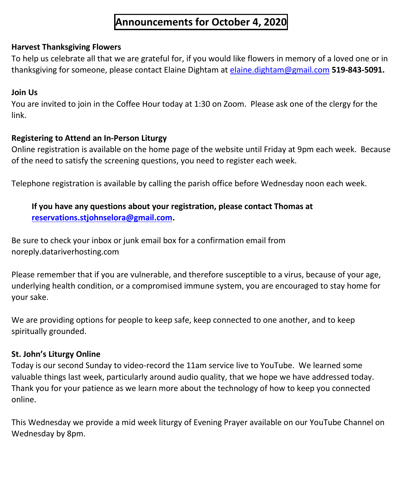## **Announcements for October 4, 2020**

#### **Harvest Thanksgiving Flowers**

To help us celebrate all that we are grateful for, if you would like flowers in memory of a loved one or in thanksgiving for someone, please contact Elaine Dightam at [elaine.dightam@gmail.com](mailto:elaine.dightam@gmail.com) **519-843-5091.**

#### **Join Us**

You are invited to join in the Coffee Hour today at 1:30 on Zoom. Please ask one of the clergy for the link.

#### **Registering to Attend an In-Person Liturgy**

Online registration is available on the home page of the website until Friday at 9pm each week. Because of the need to satisfy the screening questions, you need to register each week.

Telephone registration is available by calling the parish office before Wednesday noon each week.

#### **If you have any questions about your registration, please contact Thomas at [reservations.stjohnselora@gmail.com.](mailto:reservations.stjohnselora@gmail.com)**

Be sure to check your inbox or junk email box for a confirmation email from noreply.datariverhosting.com

Please remember that if you are vulnerable, and therefore susceptible to a virus, because of your age, underlying health condition, or a compromised immune system, you are encouraged to stay home for your sake.

We are providing options for people to keep safe, keep connected to one another, and to keep spiritually grounded.

#### **St. John's Liturgy Online**

Today is our second Sunday to video-record the 11am service live to YouTube. We learned some valuable things last week, particularly around audio quality, that we hope we have addressed today. Thank you for your patience as we learn more about the technology of how to keep you connected online.

This Wednesday we provide a mid week liturgy of Evening Prayer available on our YouTube Channel on Wednesday by 8pm.